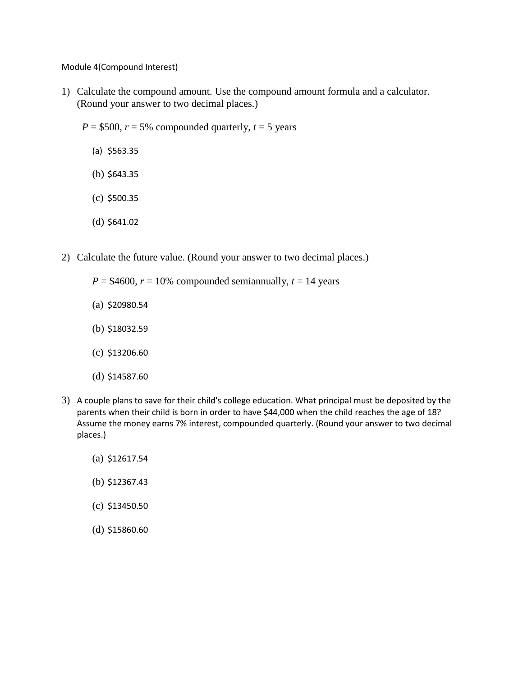Module 4(Compound Interest)

- 1) Calculate the compound amount. Use the compound amount formula and a calculator. (Round your answer to two decimal places.)
	- $P = $500$ ,  $r = 5\%$  compounded quarterly,  $t = 5$  years
		- (a) \$563.35
		- (b) \$643.35
		- (c) \$500.35
		- (d) \$641.02
- 2) Calculate the future value. (Round your answer to two decimal places.)
	- $P = $4600$ ,  $r = 10\%$  compounded semiannually,  $t = 14$  years
	- (a) \$20980.54
	- (b) \$18032.59
	- (c) \$13206.60
	- (d) \$14587.60
- 3) A couple plans to save for their child's college education. What principal must be deposited by the parents when their child is born in order to have \$44,000 when the child reaches the age of 18? Assume the money earns 7% interest, compounded quarterly. (Round your answer to two decimal places.)
	- (a) \$12617.54
	- (b) \$12367.43
	- (c) \$13450.50
	- (d) \$15860.60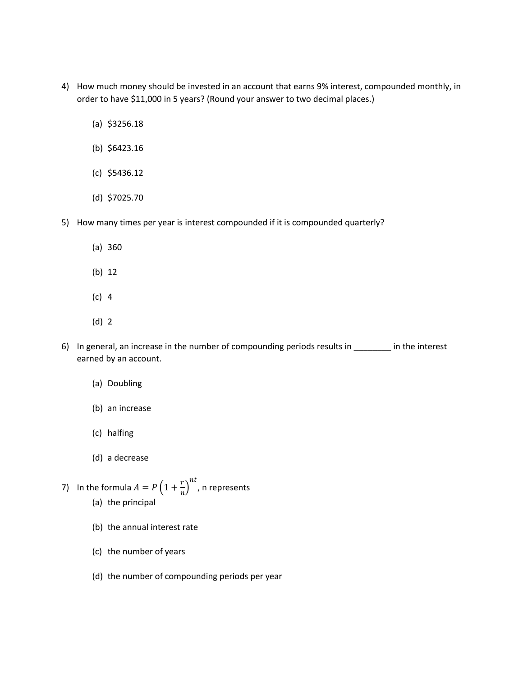- 4) How much money should be invested in an account that earns 9% interest, compounded monthly, in order to have \$11,000 in 5 years? (Round your answer to two decimal places.)
	- (a) \$3256.18
	- (b) \$6423.16
	- (c) \$5436.12
	- (d) \$7025.70
- 5) How many times per year is interest compounded if it is compounded quarterly?
	- (a) 360
	- (b) 12
	- (c) 4
	- (d) 2
- 6) In general, an increase in the number of compounding periods results in \_\_\_\_\_\_\_\_ in the interest earned by an account.
	- (a) Doubling
	- (b) an increase
	- (c) halfing
	- (d) a decrease
- 7) In the formula  $A = P\left(1 + \frac{r}{r}\right)$  $\left(\frac{r}{n}\right)^{nt}$ , n represents (a) the principal
	- (b) the annual interest rate
	- (c) the number of years
	- (d) the number of compounding periods per year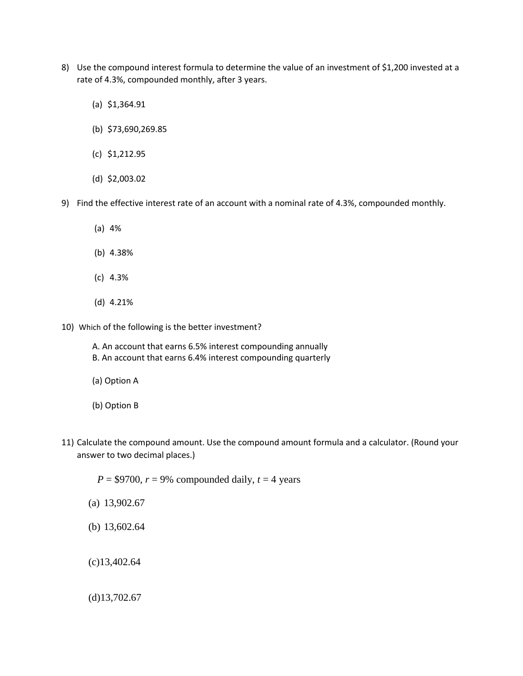- 8) Use the compound interest formula to determine the value of an investment of \$1,200 invested at a rate of 4.3%, compounded monthly, after 3 years.
	- (a) \$1,364.91
	- (b) \$73,690,269.85
	- (c) \$1,212.95
	- (d) \$2,003.02
- 9) Find the effective interest rate of an account with a nominal rate of 4.3%, compounded monthly.
	- (a) 4%
	- (b) 4.38%
	- (c) 4.3%
	- (d) 4.21%
- 10) Which of the following is the better investment?
	- A. An account that earns 6.5% interest compounding annually B. An account that earns 6.4% interest compounding quarterly
	- (a) Option A
	- (b) Option B
- 11) Calculate the compound amount. Use the compound amount formula and a calculator. (Round your answer to two decimal places.)

 $P = $9700$ ,  $r = 9\%$  compounded daily,  $t = 4$  years

- (a) 13,902.67
- (b) 13,602.64

(c)13,402.64

(d)13,702.67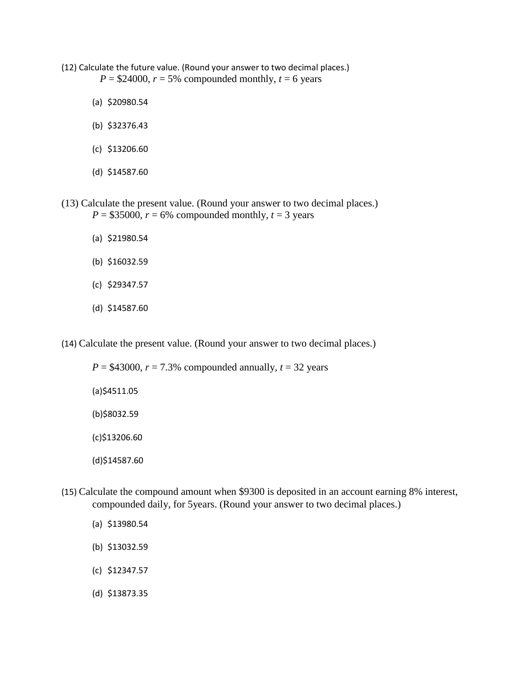- (12) Calculate the future value. (Round your answer to two decimal places.)  $P = $24000, r = 5\%$  compounded monthly,  $t = 6$  years
	- (a) \$20980.54
	- (b) \$32376.43
	- (c) \$13206.60
	- (d) \$14587.60
- (13) Calculate the present value. (Round your answer to two decimal places.)  $P = $35000$ ,  $r = 6\%$  compounded monthly,  $t = 3$  years
	- (a) \$21980.54
	- (b) \$16032.59
	- (c) \$29347.57
	- (d) \$14587.60

(14) Calculate the present value. (Round your answer to two decimal places.)

| $P = $43000, r = 7.3\%$ compounded annually, $t = 32$ years |
|-------------------------------------------------------------|
| $(a)$ \$4511.05                                             |
| (b)\$8032.59                                                |
| $(c)$ \$13206.60                                            |
| $(d)$ \$14587.60                                            |

- (15) Calculate the compound amount when \$9300 is deposited in an account earning 8% interest, compounded daily, for 5years. (Round your answer to two decimal places.)
	- (a) \$13980.54
	- (b) \$13032.59
	- (c) \$12347.57
	- (d) \$13873.35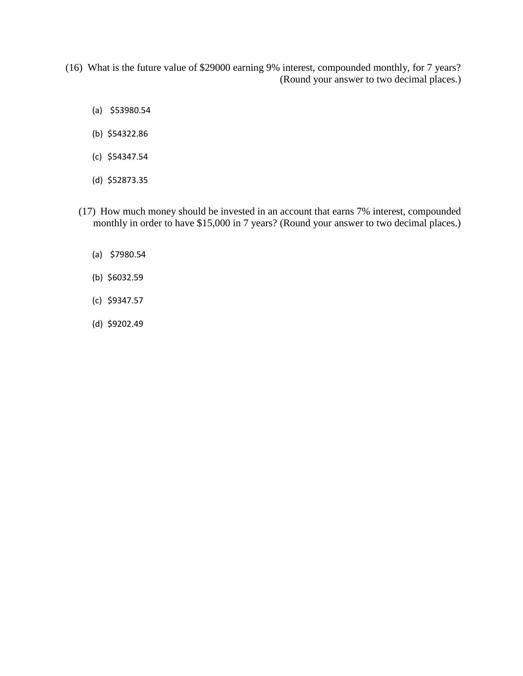(16) What is the future value of \$29000 earning 9% interest, compounded monthly, for 7 years? (Round your answer to two decimal places.)

- (a) \$53980.54
- (b) \$54322.86
- (c) \$54347.54
- (d) \$52873.35
- (17) How much money should be invested in an account that earns 7% interest, compounded monthly in order to have \$15,000 in 7 years? (Round your answer to two decimal places.)
	- (a) \$7980.54
	- (b) \$6032.59
	- (c) \$9347.57
	- (d) \$9202.49